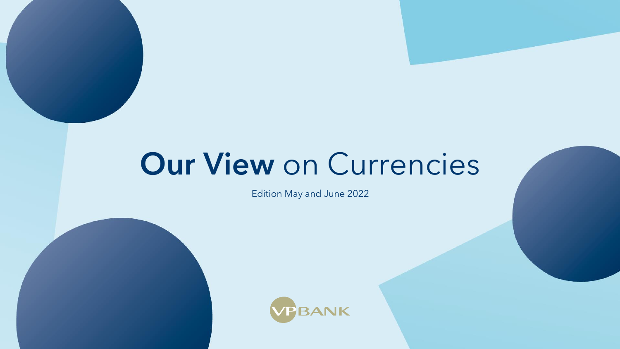# Our View on Currencies

Edition May and June 2022



Our View on Currencies · May and June 2022 1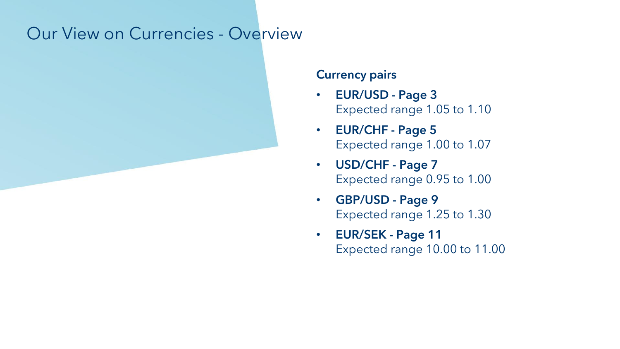## Our View on Currencies - Overview

### Currency pairs

- EUR/USD Page 3 Expected range 1.05 to 1.10
- EUR/CHF Page 5 Expected range 1.00 to 1.07
- USD/CHF Page 7 Expected range 0.95 to 1.00
- GBP/USD Page 9 Expected range 1.25 to 1.30
- EUR/SEK Page 11 Expected range 10.00 to 11.00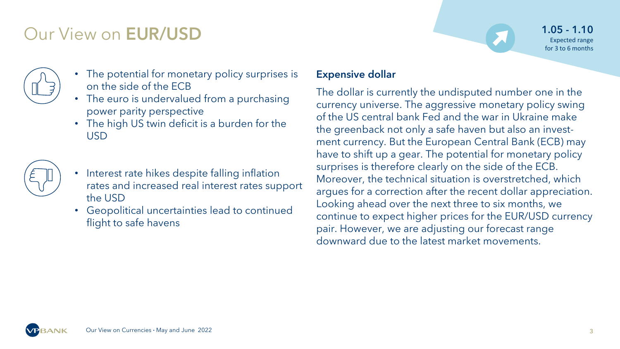## Our View on EUR/USD

- The potential for monetary policy surprises is on the side of the ECB
- The euro is undervalued from a purchasing power parity perspective
- The high US twin deficit is a burden for the USD



- Interest rate hikes despite falling inflation rates and increased real interest rates support the USD
- Geopolitical uncertainties lead to continued flight to safe havens

1.05 - 1.10 Expected range for 3 to 6 months

### Expensive dollar

The dollar is currently the undisputed number one in the currency universe. The aggressive monetary policy swing of the US central bank Fed and the war in Ukraine make the greenback not only a safe haven but also an investment currency. But the European Central Bank (ECB) may have to shift up a gear. The potential for monetary policy surprises is therefore clearly on the side of the ECB. Moreover, the technical situation is overstretched, which argues for a correction after the recent dollar appreciation. Looking ahead over the next three to six months, we continue to expect higher prices for the EUR/USD currency pair. However, we are adjusting our forecast range downward due to the latest market movements.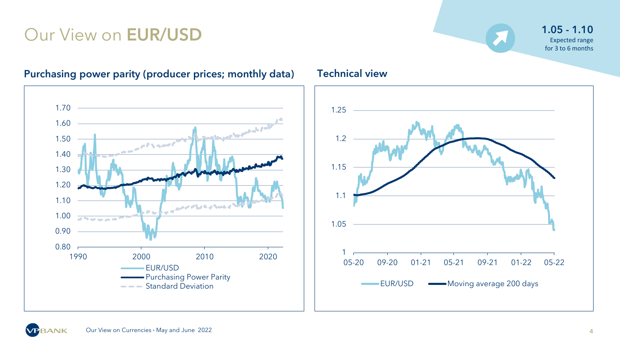## Our View on **EUR/USD** 1.05 - 1.10



### Purchasing power parity (producer prices; monthly data) Technical view





Expected range for 3 to 6 months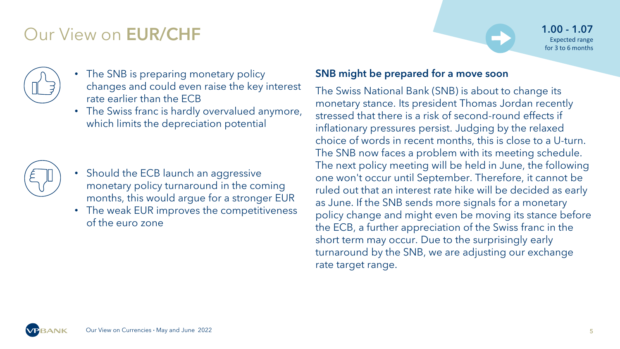## Our View on EUR/CHF



- The SNB is preparing monetary policy changes and could even raise the key interest rate earlier than the ECB
- The Swiss franc is hardly overvalued anymore, which limits the depreciation potential



- Should the ECB launch an aggressive monetary policy turnaround in the coming months, this would argue for a stronger EUR
- The weak EUR improves the competitiveness of the euro zone

### SNB might be prepared for a move soon

The Swiss National Bank (SNB) is about to change its monetary stance. Its president Thomas Jordan recently stressed that there is a risk of second-round effects if inflationary pressures persist. Judging by the relaxed choice of words in recent months, this is close to a U-turn. The SNB now faces a problem with its meeting schedule. The next policy meeting will be held in June, the following one won't occur until September. Therefore, it cannot be ruled out that an interest rate hike will be decided as early as June. If the SNB sends more signals for a monetary policy change and might even be moving its stance before the ECB, a further appreciation of the Swiss franc in the short term may occur. Due to the surprisingly early turnaround by the SNB, we are adjusting our exchange rate target range.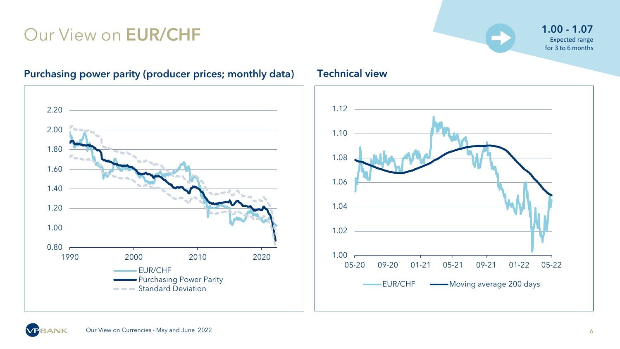## Our View on **EUR/CHF** 1.00 and 1.07 and 1.07 and 1.07 and 1.07 and 1.07 and 1.07 and 1.07 and 1.07 and 1.07 and 1.07 and 1.07 and 1.07 and 1.07 and 1.07 and 1.07 and 1.07 and 1.07 and 1.07 and 1.07 and 1.07 and 1.07 and 1.



### Purchasing power parity (producer prices; monthly data) Technical view

## Expected range for 3 to 6 months



Our View on Currencies · May and June 2022 6

**VPBANK**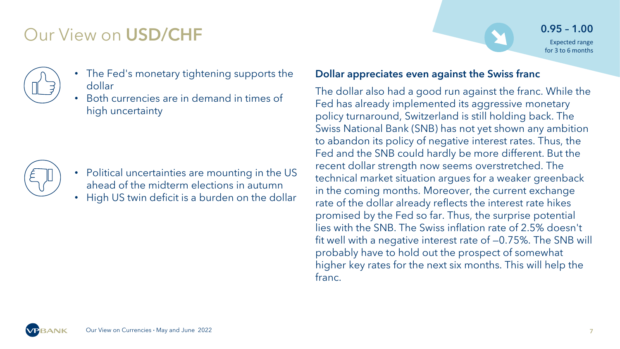## Our View on USD/CHF

- The Fed's monetary tightening supports the dollar
	- Both currencies are in demand in times of high uncertainty



- Political uncertainties are mounting in the US ahead of the midterm elections in autumn
- High US twin deficit is a burden on the dollar

### Dollar appreciates even against the Swiss franc

The dollar also had a good run against the franc. While the Fed has already implemented its aggressive monetary policy turnaround, Switzerland is still holding back. The Swiss National Bank (SNB) has not yet shown any ambition to abandon its policy of negative interest rates. Thus, the Fed and the SNB could hardly be more different. But the recent dollar strength now seems overstretched. The technical market situation argues for a weaker greenback in the coming months. Moreover, the current exchange rate of the dollar already reflects the interest rate hikes promised by the Fed so far. Thus, the surprise potential lies with the SNB. The Swiss inflation rate of 2.5% doesn't fit well with a negative interest rate of —0.75%. The SNB will probably have to hold out the prospect of somewhat higher key rates for the next six months. This will help the franc.

0.95 – 1.00 Expected range for 3 to 6 months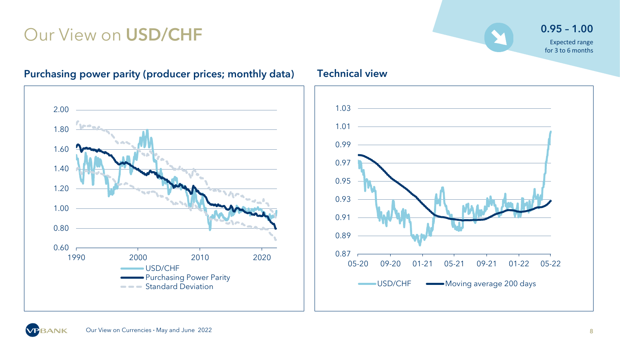## Our View on USD/CHF 0.95 – 1.00



### Purchasing power parity (producer prices; monthly data) Technical view





Expected range for 3 to 6 months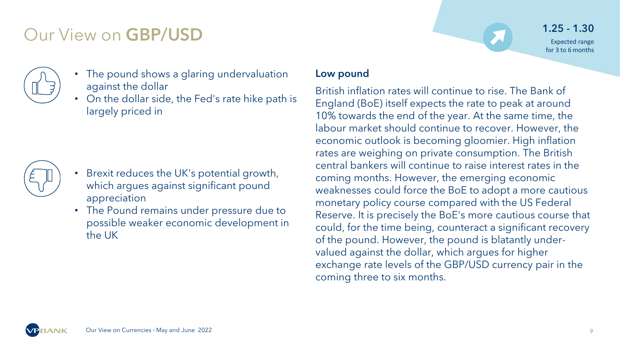## Our View on GBP/USD



- The pound shows a glaring undervaluation against the dollar
- On the dollar side, the Fed's rate hike path is largely priced in



- Brexit reduces the UK's potential growth, which argues against significant pound appreciation
- The Pound remains under pressure due to possible weaker economic development in the UK

1.25 - 1.30 Expected range for 3 to 6 months

### Low pound

British inflation rates will continue to rise. The Bank of England (BoE) itself expects the rate to peak at around 10% towards the end of the year. At the same time, the labour market should continue to recover. However, the economic outlook is becoming gloomier. High inflation rates are weighing on private consumption. The British central bankers will continue to raise interest rates in the coming months. However, the emerging economic weaknesses could force the BoE to adopt a more cautious monetary policy course compared with the US Federal Reserve. It is precisely the BoE's more cautious course that could, for the time being, counteract a significant recovery of the pound. However, the pound is blatantly undervalued against the dollar, which argues for higher exchange rate levels of the GBP/USD currency pair in the coming three to six months.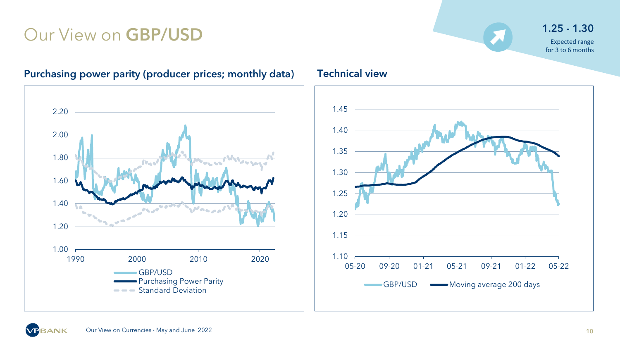## Our View on GBP/USD 1.25 - 1.30

## Expected range for 3 to 6 months



### Purchasing power parity (producer prices; monthly data) Technical view



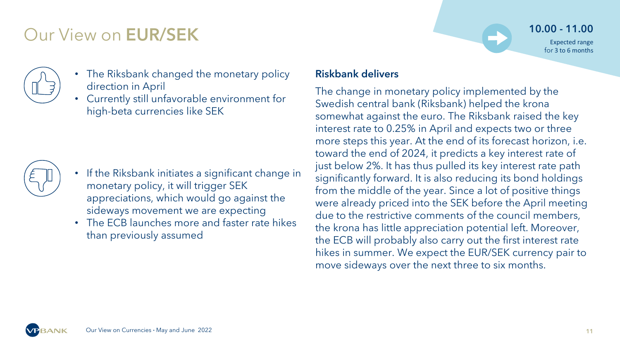## Our View on EUR/SEK



- The Riksbank changed the monetary policy direction in April
- Currently still unfavorable environment for high-beta currencies like SEK



- If the Riksbank initiates a significant change in monetary policy, it will trigger SEK appreciations, which would go against the sideways movement we are expecting
- The ECB launches more and faster rate hikes than previously assumed

10.00 - 11.00

Expected range for 3 to 6 months

### Riskbank delivers

The change in monetary policy implemented by the Swedish central bank (Riksbank) helped the krona somewhat against the euro. The Riksbank raised the key interest rate to 0.25% in April and expects two or three more steps this year. At the end of its forecast horizon, i.e. toward the end of 2024, it predicts a key interest rate of just below 2%. It has thus pulled its key interest rate path significantly forward. It is also reducing its bond holdings from the middle of the year. Since a lot of positive things were already priced into the SEK before the April meeting due to the restrictive comments of the council members, the krona has little appreciation potential left. Moreover, the ECB will probably also carry out the first interest rate hikes in summer. We expect the EUR/SEK currency pair to move sideways over the next three to six months.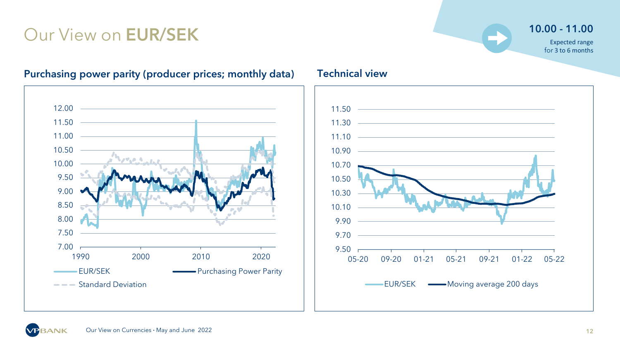## Our View on **EUR/SEK** 10.00 - 11.00

Expected range for 3 to 6 months



### Purchasing power parity (producer prices; monthly data) Technical view